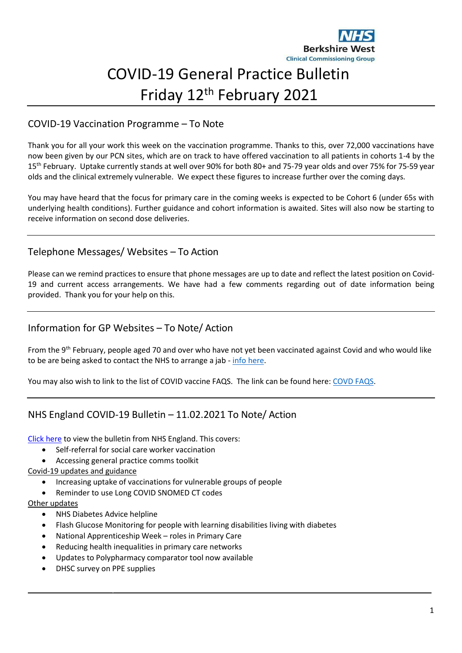

# COVID-19 General Practice Bulletin Friday 12th February 2021

# COVID-19 Vaccination Programme – To Note

Thank you for all your work this week on the vaccination programme. Thanks to this, over 72,000 vaccinations have now been given by our PCN sites, which are on track to have offered vaccination to all patients in cohorts 1-4 by the 15th February. Uptake currently stands at well over 90% for both 80+ and 75-79 year olds and over 75% for 75-59 year olds and the clinical extremely vulnerable. We expect these figures to increase further over the coming days.

You may have heard that the focus for primary care in the coming weeks is expected to be Cohort 6 (under 65s with underlying health conditions). Further guidance and cohort information is awaited. Sites will also now be starting to receive information on second dose deliveries.

## Telephone Messages/ Websites – To Action

Please can we remind practices to ensure that phone messages are up to date and reflect the latest position on Covid-19 and current access arrangements. We have had a few comments regarding out of date information being provided. Thank you for your help on this.

## Information for GP Websites – To Note/ Action

From the 9<sup>th</sup> February, people aged 70 and over who have not yet been vaccinated against Covid and who would like to be are being asked to contact the NHS to arrange a jab - info [here.](https://www.berkshirewestccg.nhs.uk/newsroom/news/posts/2021/2021/february/call-for-people-aged-70-and-over-to-contact-nhs-for-a-covid-jab/)

You may also wish to link to the list of COVID vaccine FAQS. The link can be found here: [COVD](https://www.berkshirewestccg.nhs.uk/patient-information/covid-19-vaccine/covid-19-vaccine-faqs/) FAQS.

## NHS England COVID-19 Bulletin – 11.02.2021 To Note/ Action

[Click](https://generalpracticebulletin.cmail20.com/t/d-e-qlutlut-juuijlhiul-yu/) here to view the bulletin from NHS England. This covers:

- Self-referral for social care worker vaccination
- Accessing general practice comms toolkit

#### Covid-19 updates and guidance

- Increasing uptake of vaccinations for vulnerable groups of people
- Reminder to use Long COVID SNOMED CT codes

#### Other updates

- NHS Diabetes Advice helpline
- Flash Glucose Monitoring for people with learning disabilities living with diabetes
- National Apprenticeship Week roles in Primary Care
- Reducing health inequalities in primary care networks
- Updates to Polypharmacy comparator tool now available
- DHSC survey on PPE supplies